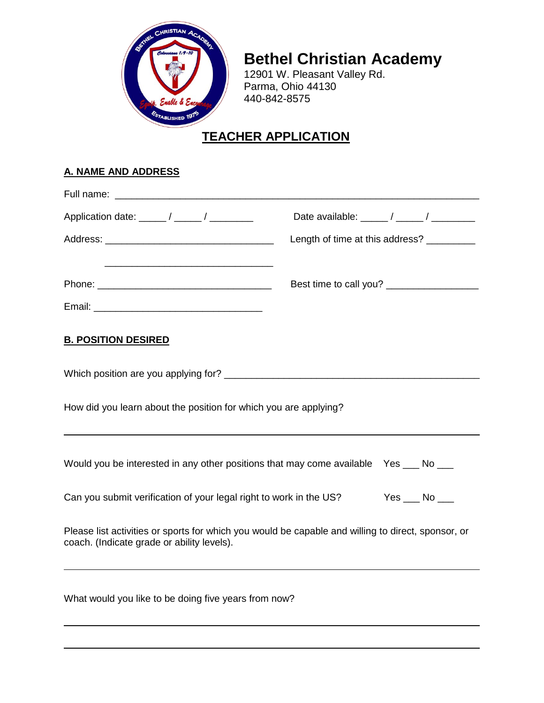

# **Bethel Christian Academy**

12901 W. Pleasant Valley Rd. Parma, Ohio 44130 440-842-8575

## **TEACHER APPLICATION**

## **A. NAME AND ADDRESS**

|                                                                                                                                                  | Date available: $\frac{1}{2}$ / $\frac{1}{2}$ / $\frac{1}{2}$ |
|--------------------------------------------------------------------------------------------------------------------------------------------------|---------------------------------------------------------------|
|                                                                                                                                                  | Length of time at this address? _________                     |
|                                                                                                                                                  |                                                               |
| <b>B. POSITION DESIRED</b>                                                                                                                       |                                                               |
|                                                                                                                                                  |                                                               |
| How did you learn about the position for which you are applying?                                                                                 |                                                               |
| Would you be interested in any other positions that may come available Yes ___ No ___                                                            |                                                               |
| Can you submit verification of your legal right to work in the US? Yes __ No __                                                                  |                                                               |
| Please list activities or sports for which you would be capable and willing to direct, sponsor, or<br>coach. (Indicate grade or ability levels). |                                                               |
| What would you like to be doing five years from now?                                                                                             |                                                               |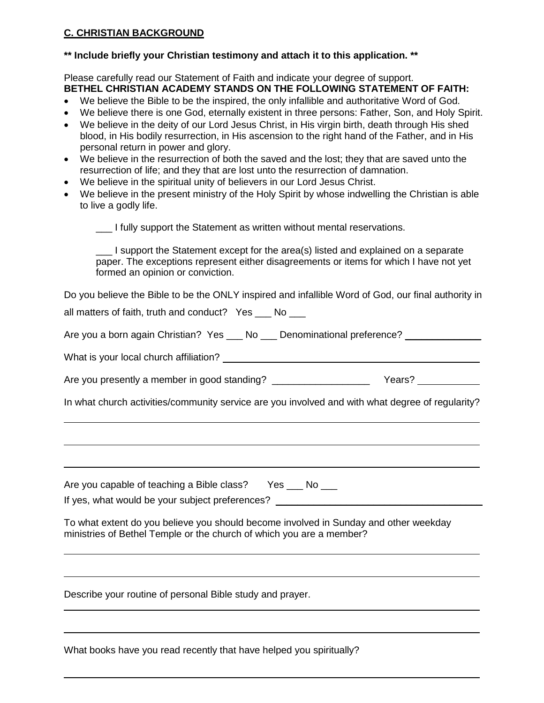#### **C. CHRISTIAN BACKGROUND**

#### **\*\* Include briefly your Christian testimony and attach it to this application. \*\***

Please carefully read our Statement of Faith and indicate your degree of support. **BETHEL CHRISTIAN ACADEMY STANDS ON THE FOLLOWING STATEMENT OF FAITH:**

- We believe the Bible to be the inspired, the only infallible and authoritative Word of God.
- We believe there is one God, eternally existent in three persons: Father, Son, and Holy Spirit.
- We believe in the deity of our Lord Jesus Christ, in His virgin birth, death through His shed blood, in His bodily resurrection, in His ascension to the right hand of the Father, and in His personal return in power and glory.
- We believe in the resurrection of both the saved and the lost; they that are saved unto the resurrection of life; and they that are lost unto the resurrection of damnation.
- We believe in the spiritual unity of believers in our Lord Jesus Christ.
- We believe in the present ministry of the Holy Spirit by whose indwelling the Christian is able to live a godly life.

\_\_\_ I fully support the Statement as written without mental reservations.

I support the Statement except for the area(s) listed and explained on a separate paper. The exceptions represent either disagreements or items for which I have not yet formed an opinion or conviction.

Do you believe the Bible to be the ONLY inspired and infallible Word of God, our final authority in all matters of faith, truth and conduct? Yes \_\_\_ No \_\_\_

Are you a born again Christian? Yes \_\_\_ No \_\_\_ Denominational preference? \_\_\_\_\_\_\_\_\_\_\_

What is your local church affiliation?

Are you presently a member in good standing? \_\_\_\_\_\_\_\_\_\_\_\_\_\_\_\_\_\_\_\_\_\_\_\_\_\_\_ Years? \_\_\_\_\_\_\_\_\_\_\_\_\_\_\_\_\_\_\_\_

In what church activities/community service are you involved and with what degree of regularity?

Are you capable of teaching a Bible class? Yes \_\_\_ No \_\_\_ If yes, what would be your subject preferences? \_\_\_\_\_\_\_\_\_\_\_\_\_\_\_\_\_\_\_\_\_\_\_\_\_\_\_\_\_\_\_\_

To what extent do you believe you should become involved in Sunday and other weekday ministries of Bethel Temple or the church of which you are a member?

Describe your routine of personal Bible study and prayer.

|  | What books have you read recently that have helped you spiritually? |
|--|---------------------------------------------------------------------|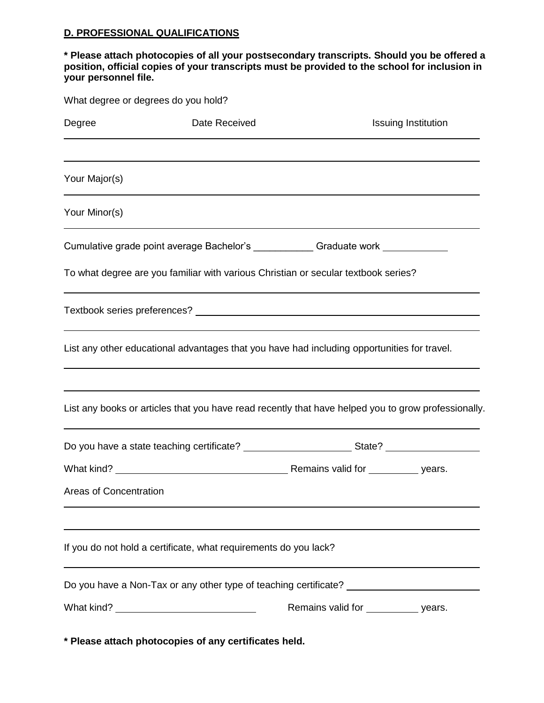#### **D. PROFESSIONAL QUALIFICATIONS**

#### **\* Please attach photocopies of all your postsecondary transcripts. Should you be offered a position, official copies of your transcripts must be provided to the school for inclusion in your personnel file.**

|                        | What degree or degrees do you hold?                                                                  |                                      |                     |
|------------------------|------------------------------------------------------------------------------------------------------|--------------------------------------|---------------------|
| Degree                 | Date Received                                                                                        |                                      | Issuing Institution |
| Your Major(s)          |                                                                                                      |                                      |                     |
| Your Minor(s)          |                                                                                                      |                                      |                     |
|                        | Cumulative grade point average Bachelor's ______________ Graduate work __________                    |                                      |                     |
|                        | To what degree are you familiar with various Christian or secular textbook series?                   |                                      |                     |
|                        |                                                                                                      |                                      |                     |
|                        | List any other educational advantages that you have had including opportunities for travel.          |                                      |                     |
|                        | List any books or articles that you have read recently that have helped you to grow professionally.  |                                      |                     |
|                        | Do you have a state teaching certificate? _____________________________State? ______________________ |                                      |                     |
|                        |                                                                                                      |                                      |                     |
| Areas of Concentration |                                                                                                      |                                      |                     |
|                        | If you do not hold a certificate, what requirements do you lack?                                     |                                      |                     |
|                        | Do you have a Non-Tax or any other type of teaching certificate? _______________                     |                                      |                     |
|                        |                                                                                                      | Remains valid for ___________ years. |                     |
|                        | * Please attach photocopies of any certificates held.                                                |                                      |                     |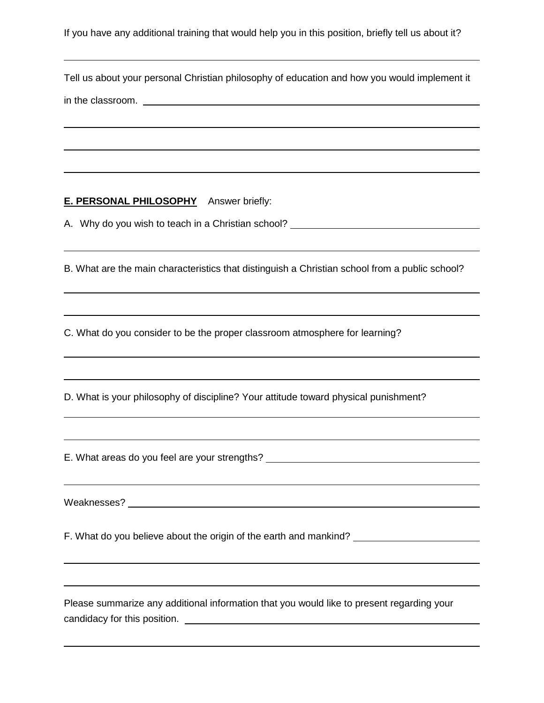If you have any additional training that would help you in this position, briefly tell us about it?

Tell us about your personal Christian philosophy of education and how you would implement it in the classroom.

#### **E. PERSONAL PHILOSOPHY** Answer briefly:

A. Why do you wish to teach in a Christian school?

B. What are the main characteristics that distinguish a Christian school from a public school?

C. What do you consider to be the proper classroom atmosphere for learning?

D. What is your philosophy of discipline? Your attitude toward physical punishment?

E. What areas do you feel are your strengths?

Weaknesses?

F. What do you believe about the origin of the earth and mankind? \_\_\_\_\_\_\_\_\_\_\_\_\_\_\_\_\_\_\_\_\_

Please summarize any additional information that you would like to present regarding your candidacy for this position.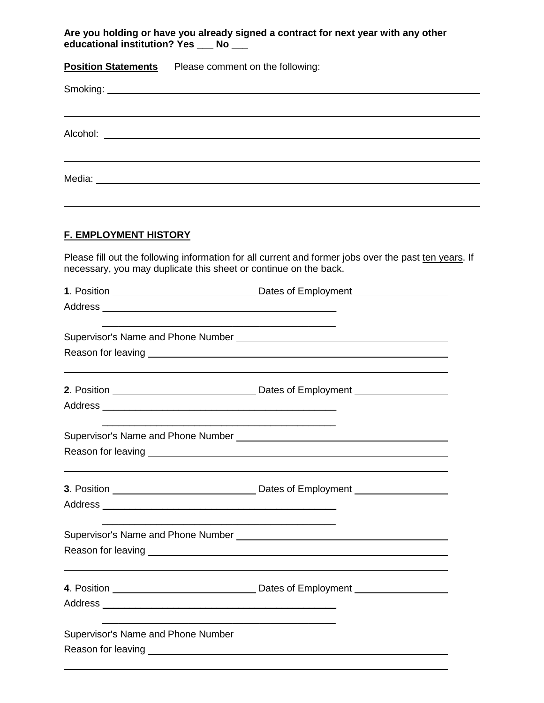**Are you holding or have you already signed a contract for next year with any other educational institution? Yes \_\_\_ No \_\_\_**

**Position Statements** Please comment on the following:

#### **F. EMPLOYMENT HISTORY**

Please fill out the following information for all current and former jobs over the past ten years. If necessary, you may duplicate this sheet or continue on the back.

| Reason for leaving <u>example and the set of the set of the set of the set of the set of the set of the set of the set of the set of the set of the set of the set of the set of the set of the set of the set of the set of the</u> |  |
|--------------------------------------------------------------------------------------------------------------------------------------------------------------------------------------------------------------------------------------|--|
|                                                                                                                                                                                                                                      |  |
|                                                                                                                                                                                                                                      |  |
|                                                                                                                                                                                                                                      |  |
| Reason for leaving example and the state of the state of the state of the state of the state of the state of the state of the state of the state of the state of the state of the state of the state of the state of the state       |  |
|                                                                                                                                                                                                                                      |  |
|                                                                                                                                                                                                                                      |  |
|                                                                                                                                                                                                                                      |  |
|                                                                                                                                                                                                                                      |  |
|                                                                                                                                                                                                                                      |  |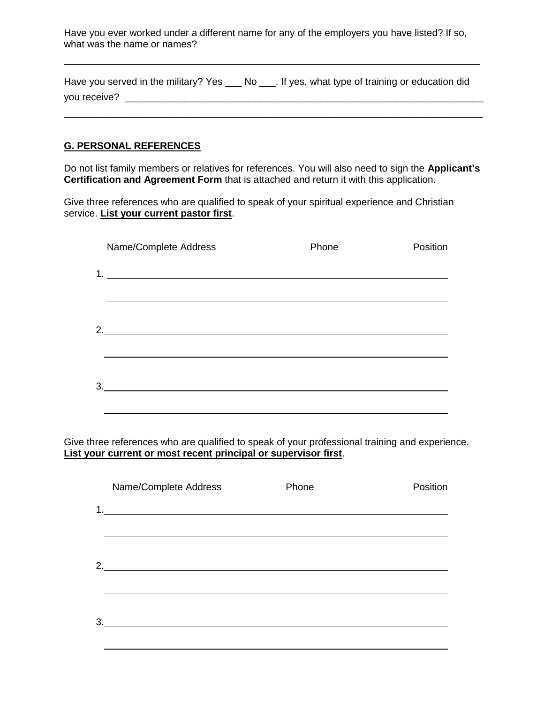Have you ever worked under a different name for any of the employers you have listed? If so, what was the name or names?

|              | Have you served in the military? Yes ____ No ____. If yes, what type of training or education did |
|--------------|---------------------------------------------------------------------------------------------------|
| you receive? |                                                                                                   |

\_\_\_\_\_\_\_\_\_\_\_\_\_\_\_\_\_\_\_\_\_\_\_\_\_\_\_\_\_\_\_\_\_\_\_\_\_\_\_\_\_\_\_\_\_\_\_\_\_\_\_\_\_\_\_\_\_\_\_\_\_\_\_\_\_\_\_\_\_\_\_\_\_\_\_\_\_

#### **G. PERSONAL REFERENCES**

Do not list family members or relatives for references. You will also need to sign the **Applicant's Certification and Agreement Form** that is attached and return it with this application.

Give three references who are qualified to speak of your spiritual experience and Christian service. **List your current pastor first**.

|    | Name/Complete Address                                                                                                  | Phone | Position |
|----|------------------------------------------------------------------------------------------------------------------------|-------|----------|
| 1. | <u> 1989 - Johann Stoff, deutscher Stoffen und der Stoffen und der Stoffen und der Stoffen und der Stoffen und der</u> |       |          |
| 2. | <u> 1989 - Johann Barbara, martxa alemaniar amerikan basar da da a shekara a shekara a shekara a shekara a sheka</u>   |       |          |
| 3. |                                                                                                                        |       |          |

Give three references who are qualified to speak of your professional training and experience. **List your current or most recent principal or supervisor first**.

|    | Name/Complete Address                                                                                                 | Phone | Position |
|----|-----------------------------------------------------------------------------------------------------------------------|-------|----------|
|    |                                                                                                                       |       |          |
|    |                                                                                                                       |       |          |
|    |                                                                                                                       |       |          |
| 2. |                                                                                                                       |       |          |
|    |                                                                                                                       |       |          |
|    |                                                                                                                       |       |          |
| 3. |                                                                                                                       |       |          |
|    | <u> 1989 - Johann Harry Barn, mars ar breist fan de Fryske kommunent fan de Fryske kommunent fan de Fryske kommun</u> |       |          |
|    |                                                                                                                       |       |          |